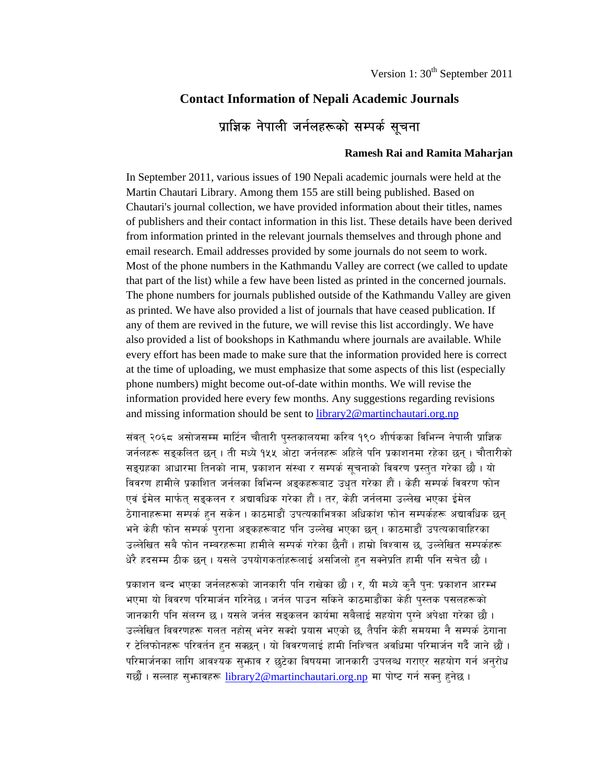# **Contact Information of Nepali Academic Journals**  प्राज्ञिक नेपाली जर्नलहरूको सम्पर्क सूचना

#### **Ramesh Rai and Ramita Maharjan**

In September 2011, various issues of 190 Nepali academic journals were held at the Martin Chautari Library. Among them 155 are still being published. Based on Chautari's journal collection, we have provided information about their titles, names of publishers and their contact information in this list. These details have been derived from information printed in the relevant journals themselves and through phone and email research. Email addresses provided by some journals do not seem to work. Most of the phone numbers in the Kathmandu Valley are correct (we called to update that part of the list) while a few have been listed as printed in the concerned journals. The phone numbers for journals published outside of the Kathmandu Valley are given as printed. We have also provided a list of journals that have ceased publication. If any of them are revived in the future, we will revise this list accordingly. We have also provided a list of bookshops in Kathmandu where journals are available. While every effort has been made to make sure that the information provided here is correct at the time of uploading, we must emphasize that some aspects of this list (especially phone numbers) might become out-of-date within months. We will revise the information provided here every few months. Any suggestions regarding revisions and missing information should be sent to library2@martinchautari.org.np

संवत् २०६८ असोजसम्म मार्टिन चौतारी पुस्तकालयमा करिब १९० शीर्षकका विभिन्न नेपाली प्राज्ञिक जर्नलहरू सङ्कलित छन्। ती मध्ये १५५ ओटा जर्नलहरू अहिले पनि प्रकाशनमा रहेका छन्। चौतारीको सङ्ग्रहका आधारमा तिनको नाम, प्रकाशन संस्था र सम्पर्क सूचनाको विवरण प्रस्तुत गरेका छौ । यो विवरण हामीले प्रकाशित जर्नलका विभिन्न अङ्कहरूबाट उधत गरेका हौं। केही सम्पर्क विवरण फोन एवं ईमेल मार्फत सड़कलन र अद्यावधिक गरेका हौं । तर, केही जर्नलमा उल्लेख भएका ईमेल ठेगानाहरूमा सम्पर्क हुन सकेन । काठमाडौं उपत्यकाभित्रका अधिकांश फोन सम्पर्कहरू अद्यावधिक छन् भने केही फोन सम्पर्क पराना अड़कहरूबाट पनि उल्लेख भएका छन । काठमाडौं उपत्यकाबाहिरका उल्लेखित सबै फोन नम्बरहरूमा हामीले सम्पर्क गरेका छैनौं। हाम्रो विश्वास छ, उल्लेखित सम्पर्कहरू धेरै हदसम्म ठीक छन् । यसले उपयोगकर्ताहरूलाई असजिलो हुन सक्नेप्रति हामी पनि सचेत छौ ।

प्रकाशन बन्द भएका जर्नलहरूको जानकारी पनि राखेका छौ । र, यी मध्ये कुनै पुन: प्रकाशन आरम्भ भएमा यो विवरण परिमार्जन गरिनेछ । जर्नल पाउन सकिने काठमाडौंका केही पुस्तक पसलहरूको जानकारी पनि संलग्न छ । यसले जर्नल सङ्कलन कार्यमा सबैलाई सहयोग पुग्ने अपेक्षा गरेका छौ । उल्लेखित विवरणहरू गलत नहोस् भनेर सक्दो प्रयास भएको छ, तैपनि केही समयमा नै सम्पर्क ठेगाना र टेलिफोनहरू परिवर्तन हुन सक्छन् । यो विवरणलाई हामी निश्चित अवधिमा परिमार्जन गर्दै जाने छौं । परिमार्जनका लागि आवश्यक सुभाव र छुटेका विषयमा जानकारी उपलब्ध गराएर सहयोग गर्न अनुरोध गर्छौ। सल्लाह स्*भावहरू library2@martinchautari.org.np* मा पोष्ट गर्न सक्न् हनेछ।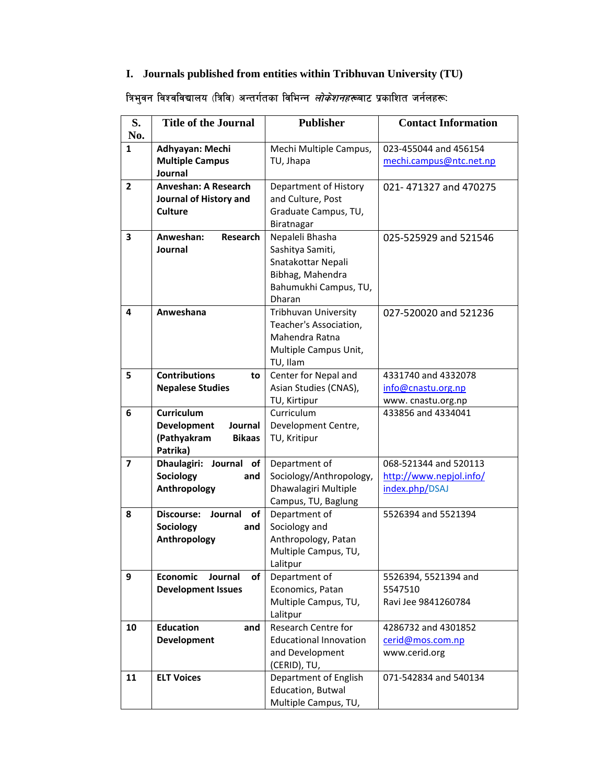# **I. Journals published from entities within Tribhuvan University (TU)**

# त्रिभुवन विश्वविद्यालय (त्रिवि) अन्तर्गतका विभिन्न *लोकेशनहरू*बाट प्रकाशित जर्नलहरूः

| S.             | <b>Title of the Journal</b>               | <b>Publisher</b>              | <b>Contact Information</b> |
|----------------|-------------------------------------------|-------------------------------|----------------------------|
| No.            |                                           |                               |                            |
| $\mathbf{1}$   | Adhyayan: Mechi                           | Mechi Multiple Campus,        | 023-455044 and 456154      |
|                | <b>Multiple Campus</b>                    | TU, Jhapa                     | mechi.campus@ntc.net.np    |
|                | Journal                                   |                               |                            |
| $\overline{2}$ | <b>Anveshan: A Research</b>               | Department of History         | 021-471327 and 470275      |
|                | Journal of History and                    | and Culture, Post             |                            |
|                | <b>Culture</b>                            | Graduate Campus, TU,          |                            |
|                |                                           | Biratnagar                    |                            |
| 3              | Anweshan:<br><b>Research</b>              | Nepaleli Bhasha               | 025-525929 and 521546      |
|                | Journal                                   | Sashitya Samiti,              |                            |
|                |                                           | Snatakottar Nepali            |                            |
|                |                                           | Bibhag, Mahendra              |                            |
|                |                                           | Bahumukhi Campus, TU,         |                            |
|                |                                           | Dharan                        |                            |
| 4              | Anweshana                                 | <b>Tribhuvan University</b>   | 027-520020 and 521236      |
|                |                                           | Teacher's Association,        |                            |
|                |                                           | Mahendra Ratna                |                            |
|                |                                           | Multiple Campus Unit,         |                            |
|                |                                           | TU, Ilam                      |                            |
| 5              | <b>Contributions</b><br>to                | Center for Nepal and          | 4331740 and 4332078        |
|                | <b>Nepalese Studies</b>                   | Asian Studies (CNAS),         | info@cnastu.org.np         |
|                |                                           | TU, Kirtipur                  | www.cnastu.org.np          |
| 6              | <b>Curriculum</b>                         | Curriculum                    | 433856 and 4334041         |
|                | <b>Development</b><br>Journal             | Development Centre,           |                            |
|                | (Pathyakram<br><b>Bikaas</b>              | TU, Kritipur                  |                            |
|                | Patrika)                                  |                               |                            |
| 7              | Dhaulagiri: Journal<br>of                 | Department of                 | 068-521344 and 520113      |
|                | Sociology<br>and                          | Sociology/Anthropology,       | http://www.nepjol.info/    |
|                | Anthropology                              | Dhawalagiri Multiple          | index.php/DSAJ             |
|                |                                           | Campus, TU, Baglung           |                            |
| 8              | <b>Discourse:</b><br>Journal<br><b>of</b> | Department of                 | 5526394 and 5521394        |
|                | Sociology<br>and                          | Sociology and                 |                            |
|                | Anthropology                              | Anthropology, Patan           |                            |
|                |                                           | Multiple Campus, TU,          |                            |
|                |                                           | Lalitpur                      |                            |
| 9              | <b>Economic</b><br>Journal<br>οf          | Department of                 | 5526394, 5521394 and       |
|                | <b>Development Issues</b>                 | Economics, Patan              | 5547510                    |
|                |                                           | Multiple Campus, TU,          | Ravi Jee 9841260784        |
|                |                                           | Lalitpur                      |                            |
| 10             | <b>Education</b><br>and                   | Research Centre for           | 4286732 and 4301852        |
|                | Development                               | <b>Educational Innovation</b> | cerid@mos.com.np           |
|                |                                           | and Development               | www.cerid.org              |
|                |                                           | (CERID), TU,                  |                            |
| 11             | <b>ELT Voices</b>                         | Department of English         | 071-542834 and 540134      |
|                |                                           | Education, Butwal             |                            |
|                |                                           | Multiple Campus, TU,          |                            |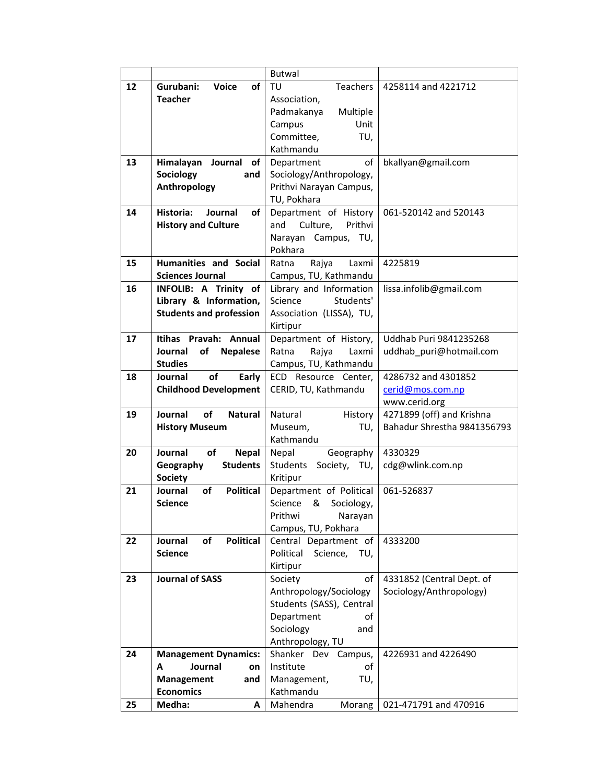|    |                                          | <b>Butwal</b>                |                               |
|----|------------------------------------------|------------------------------|-------------------------------|
| 12 | Gurubani:<br><b>Voice</b><br>of          | TU<br>Teachers               | 4258114 and 4221712           |
|    | <b>Teacher</b>                           | Association,                 |                               |
|    |                                          | Padmakanya<br>Multiple       |                               |
|    |                                          | Campus<br>Unit               |                               |
|    |                                          | Committee,<br>TU,            |                               |
|    |                                          | Kathmandu                    |                               |
| 13 | Himalayan Journal<br>of                  | Department<br>of             | bkallyan@gmail.com            |
|    | <b>Sociology</b><br>and                  | Sociology/Anthropology,      |                               |
|    | Anthropology                             | Prithvi Narayan Campus,      |                               |
|    |                                          | TU, Pokhara                  |                               |
| 14 | Historia:<br>Journal<br>of               | Department of History        | 061-520142 and 520143         |
|    | <b>History and Culture</b>               | Culture,<br>Prithvi<br>and   |                               |
|    |                                          | Narayan Campus, TU,          |                               |
|    |                                          | Pokhara                      |                               |
| 15 | <b>Humanities and Social</b>             | Rajya<br>Ratna<br>Laxmi      | 4225819                       |
|    | <b>Sciences Journal</b>                  | Campus, TU, Kathmandu        |                               |
| 16 | INFOLIB: A Trinity of                    | Library and Information      | lissa.infolib@gmail.com       |
|    | Library & Information,                   | Students'<br>Science         |                               |
|    | <b>Students and profession</b>           | Association (LISSA), TU,     |                               |
|    |                                          | Kirtipur                     |                               |
| 17 | Itihas Pravah: Annual                    | Department of History,       | <b>Uddhab Puri 9841235268</b> |
|    | Journal<br>of<br><b>Nepalese</b>         | Ratna<br>Rajya<br>Laxmi      | uddhab_puri@hotmail.com       |
|    | <b>Studies</b>                           | Campus, TU, Kathmandu        |                               |
| 18 | οf<br>Journal<br>Early                   | ECD Resource Center,         | 4286732 and 4301852           |
|    | <b>Childhood Development</b>             | CERID, TU, Kathmandu         | cerid@mos.com.np              |
|    |                                          |                              | www.cerid.org                 |
| 19 | Journal<br>of<br><b>Natural</b>          | Natural<br>History           | 4271899 (off) and Krishna     |
|    | <b>History Museum</b>                    | Museum,<br>TU,               | Bahadur Shrestha 9841356793   |
|    |                                          | Kathmandu                    |                               |
| 20 | Journal<br><b>of</b><br><b>Nepal</b>     | Nepal<br>Geography           | 4330329                       |
|    | <b>Students</b><br>Geography             | Students<br>Society, TU,     | cdg@wlink.com.np              |
|    | <b>Society</b>                           | Kritipur                     |                               |
| 21 | <b>Political</b><br>Journal<br><b>of</b> | Department of Political      | 061-526837                    |
|    | <b>Science</b>                           | Science<br>&<br>Sociology,   |                               |
|    |                                          | Prithwi<br>Narayan           |                               |
|    |                                          | Campus, TU, Pokhara          |                               |
| 22 | of<br><b>Political</b><br>Journal        | Central Department of        | 4333200                       |
|    | <b>Science</b>                           | Political<br>Science,<br>TU, |                               |
|    |                                          | Kirtipur                     |                               |
| 23 | <b>Journal of SASS</b>                   | Society<br>of                | 4331852 (Central Dept. of     |
|    |                                          | Anthropology/Sociology       | Sociology/Anthropology)       |
|    |                                          | Students (SASS), Central     |                               |
|    |                                          | Department<br>of             |                               |
|    |                                          | Sociology<br>and             |                               |
|    |                                          | Anthropology, TU             |                               |
| 24 | <b>Management Dynamics:</b>              | Shanker Dev Campus,          | 4226931 and 4226490           |
|    | Journal<br>A<br>on                       | Institute<br>οf              |                               |
|    | Management<br>and                        | TU,<br>Management,           |                               |
|    | <b>Economics</b>                         | Kathmandu                    |                               |
| 25 | Medha:<br>A                              | Mahendra<br>Morang           | 021-471791 and 470916         |
|    |                                          |                              |                               |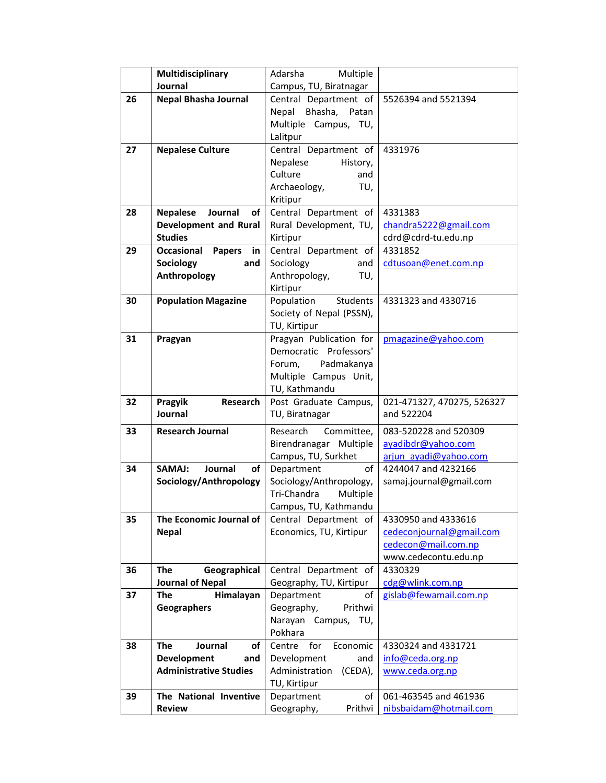|    | Multidisciplinary                 | Adarsha<br>Multiple                   |                                              |
|----|-----------------------------------|---------------------------------------|----------------------------------------------|
|    | Journal                           | Campus, TU, Biratnagar                |                                              |
| 26 | Nepal Bhasha Journal              | Central Department of                 | 5526394 and 5521394                          |
|    |                                   | Bhasha, Patan<br>Nepal                |                                              |
|    |                                   | Multiple Campus, TU,                  |                                              |
|    |                                   | Lalitpur                              |                                              |
| 27 | <b>Nepalese Culture</b>           | Central Department of                 | 4331976                                      |
|    |                                   | Nepalese<br>History,                  |                                              |
|    |                                   | Culture<br>and                        |                                              |
|    |                                   | Archaeology,<br>TU,                   |                                              |
|    |                                   | Kritipur                              |                                              |
| 28 | <b>Nepalese</b><br>Journal<br>of  | Central Department of                 | 4331383                                      |
|    | <b>Development and Rural</b>      | Rural Development, TU,                | chandra5222@gmail.com                        |
|    | <b>Studies</b>                    | Kirtipur                              | cdrd@cdrd-tu.edu.np                          |
| 29 | Occasional<br><b>Papers</b><br>in | Central Department of                 | 4331852                                      |
|    | Sociology<br>and                  | Sociology<br>and                      | cdtusoan@enet.com.np                         |
|    | Anthropology                      | Anthropology,<br>TU,                  |                                              |
|    |                                   | Kirtipur                              |                                              |
| 30 | <b>Population Magazine</b>        | Population<br>Students                | 4331323 and 4330716                          |
|    |                                   | Society of Nepal (PSSN),              |                                              |
|    |                                   | TU, Kirtipur                          |                                              |
| 31 | Pragyan                           | Pragyan Publication for               | pmagazine@yahoo.com                          |
|    |                                   | Democratic Professors'                |                                              |
|    |                                   | Padmakanya<br>Forum,                  |                                              |
|    |                                   | Multiple Campus Unit,                 |                                              |
|    |                                   | TU, Kathmandu                         |                                              |
|    | Pragyik<br><b>Research</b>        | Post Graduate Campus,                 | 021-471327, 470275, 526327                   |
| 32 |                                   |                                       |                                              |
|    | Journal                           | TU, Biratnagar                        | and 522204                                   |
| 33 | <b>Research Journal</b>           | Research<br>Committee,                | 083-520228 and 520309                        |
|    |                                   |                                       |                                              |
|    |                                   | Birendranagar Multiple                | ayadibdr@yahoo.com                           |
| 34 | Journal<br>SAMAJ:<br>οf           | Campus, TU, Surkhet<br>of             | arjun ayadi@yahoo.com<br>4244047 and 4232166 |
|    | Sociology/Anthropology            | Department<br>Sociology/Anthropology, | samaj.journal@gmail.com                      |
|    |                                   | Tri-Chandra<br>Multiple               |                                              |
|    |                                   | Campus, TU, Kathmandu                 |                                              |
| 35 | The Economic Journal of           | Central Department of                 | 4330950 and 4333616                          |
|    | <b>Nepal</b>                      | Economics, TU, Kirtipur               | cedeconjournal@gmail.com                     |
|    |                                   |                                       | cedecon@mail.com.np                          |
|    |                                   |                                       | www.cedecontu.edu.np                         |
| 36 | Geographical<br><b>The</b>        | Central Department of                 | 4330329                                      |
|    | <b>Journal of Nepal</b>           | Geography, TU, Kirtipur               | cdg@wlink.com.np                             |
| 37 | <b>The</b><br>Himalayan           | Department<br>οf                      | gislab@fewamail.com.np                       |
|    | <b>Geographers</b>                | Geography,<br>Prithwi                 |                                              |
|    |                                   | Narayan Campus, TU,                   |                                              |
|    |                                   | Pokhara                               |                                              |
| 38 | <b>The</b><br>Journal<br>οf       | for<br>Centre<br>Economic             | 4330324 and 4331721                          |
|    | Development<br>and                | Development<br>and                    | info@ceda.org.np                             |
|    | <b>Administrative Studies</b>     | Administration<br>(CEDA),             | www.ceda.org.np                              |
|    |                                   | TU, Kirtipur                          |                                              |
| 39 | The National Inventive            | Department<br>of                      | 061-463545 and 461936                        |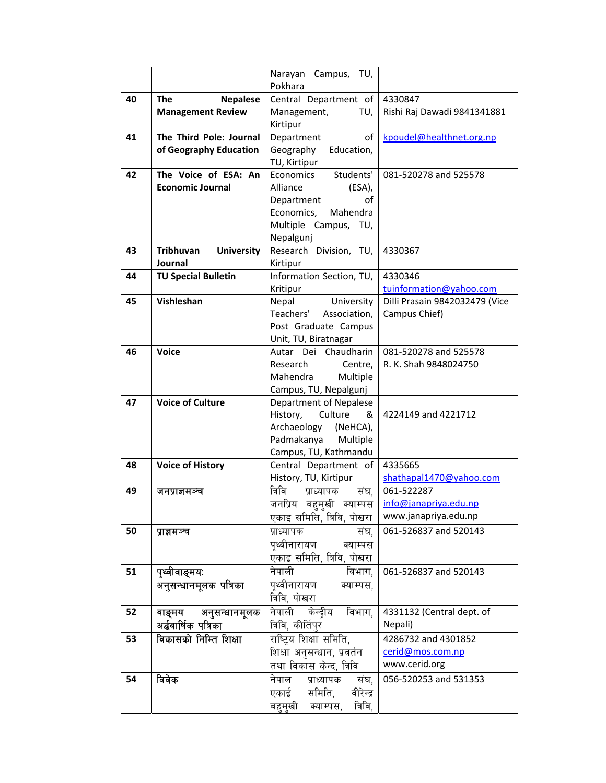|    |                                       | Narayan Campus, TU,<br>Pokhara                  |                                |
|----|---------------------------------------|-------------------------------------------------|--------------------------------|
| 40 | <b>Nepalese</b><br><b>The</b>         | Central Department of                           | 4330847                        |
|    | <b>Management Review</b>              | Management,<br>TU,                              | Rishi Raj Dawadi 9841341881    |
|    |                                       | Kirtipur                                        |                                |
| 41 | The Third Pole: Journal               | of<br>Department                                | kpoudel@healthnet.org.np       |
|    | of Geography Education                | Geography<br>Education,                         |                                |
|    |                                       | TU, Kirtipur                                    |                                |
| 42 | The Voice of ESA: An                  | Students'<br>Economics                          | 081-520278 and 525578          |
|    | <b>Economic Journal</b>               | Alliance<br>(ESA),                              |                                |
|    |                                       | Department<br>οf                                |                                |
|    |                                       | Economics,<br>Mahendra                          |                                |
|    |                                       | Multiple Campus, TU,                            |                                |
|    |                                       | Nepalgunj                                       |                                |
| 43 | <b>Tribhuvan</b><br><b>University</b> | Research Division, TU,                          | 4330367                        |
|    | Journal                               | Kirtipur                                        |                                |
| 44 | <b>TU Special Bulletin</b>            | Information Section, TU,                        | 4330346                        |
|    |                                       | Kritipur                                        | tuinformation@yahoo.com        |
| 45 | Vishleshan                            | University<br>Nepal                             | Dilli Prasain 9842032479 (Vice |
|    |                                       | Teachers'<br>Association,                       | Campus Chief)                  |
|    |                                       | Post Graduate Campus                            |                                |
| 46 | <b>Voice</b>                          | Unit, TU, Biratnagar<br>Chaudharin<br>Autar Dei | 081-520278 and 525578          |
|    |                                       | Research<br>Centre,                             | R. K. Shah 9848024750          |
|    |                                       | Multiple<br>Mahendra                            |                                |
|    |                                       | Campus, TU, Nepalgunj                           |                                |
| 47 | <b>Voice of Culture</b>               | Department of Nepalese                          |                                |
|    |                                       | Culture<br>History,<br>&                        | 4224149 and 4221712            |
|    |                                       | Archaeology<br>(NeHCA),                         |                                |
|    |                                       | Padmakanya<br>Multiple                          |                                |
|    |                                       | Campus, TU, Kathmandu                           |                                |
| 48 | <b>Voice of History</b>               | Central Department of                           | 4335665                        |
|    |                                       | History, TU, Kirtipur                           | shathapal1470@yahoo.com        |
| 49 | जनप्राज्ञमञ्च                         | त्रिवि<br>प्राध्यापक<br>संघ,                    | 061-522287                     |
|    |                                       | जनप्रिय<br>बहमखी क्याम्पस                       | info@janapriya.edu.np          |
|    |                                       | एकाइ समिति, त्रिवि, पोखरा                       | www.janapriya.edu.np           |
| 50 | प्राज्ञमञ्च                           | प्राध्यापक<br>संघ,                              | 061-526837 and 520143          |
|    |                                       | पृथ्वीनारायण<br>क्याम्पस                        |                                |
|    |                                       | एकाइ समिति, त्रिवि, पोखरा                       |                                |
| 51 | पृथ्वीवाङ्मयः                         | नेपाली<br>विभाग,                                | 061-526837 and 520143          |
|    | अनुसन्धानमूलक पत्रिका                 | पृथ्वीनारायण<br>क्याम्पस,                       |                                |
|    |                                       | त्रिवि, पोखरा                                   |                                |
| 52 | वाङ्मय<br>अनुसन्धानमूलक               | नेपाली<br>केन्दीय<br>विभाग,                     | 4331132 (Central dept. of      |
|    | अर्द्धवार्षिक पत्रिका                 | त्रिवि, कीर्तिपुर                               | Nepali)                        |
| 53 | विकासको निम्ति शिक्षा                 | राष्ट्रिय शिक्षा समिति,                         | 4286732 and 4301852            |
|    |                                       | शिक्षा अनुसन्धान, प्रवर्तन                      | cerid@mos.com.np               |
|    |                                       | तथा विकास केन्द, त्रिवि                         | www.cerid.org                  |
| 54 | विवेक                                 | नेपाल<br>प्राध्यापक<br>संघ,                     | 056-520253 and 531353          |
|    |                                       | एकाई<br>समिति,<br>वीरेन्द्र                     |                                |
|    |                                       | त्रिवि,<br>बहमखी<br>क्याम्पस,                   |                                |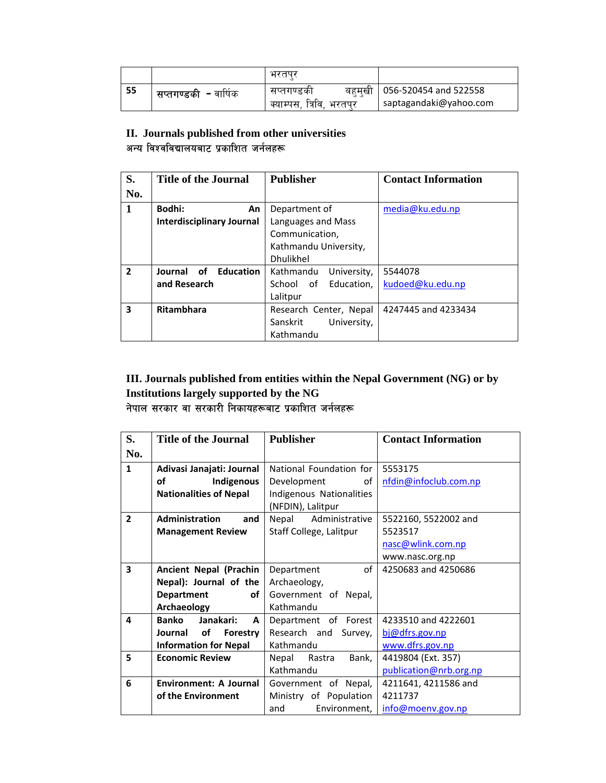|    |                                      | भरतपन                                       |                                                         |
|----|--------------------------------------|---------------------------------------------|---------------------------------------------------------|
| 55 | <b>' सप्तगण्डकी <i>-</i> वार्षिक</b> | सप्तगण्डका<br>त्रिवि.<br>क्याम्पस<br>भारतपर | बहमखी   056-520454 and 522558<br>saptagandaki@yahoo.com |

## **II. Journals published from other universities**  अन्य विश्वविद्यालयबाट प्रकाशित जर्नलहरू

| S.             | <b>Title of the Journal</b>       | <b>Publisher</b>         | <b>Contact Information</b> |
|----------------|-----------------------------------|--------------------------|----------------------------|
| No.            |                                   |                          |                            |
| 1              | Bodhi:<br>An                      | Department of            | media@ku.edu.np            |
|                | <b>Interdisciplinary Journal</b>  | Languages and Mass       |                            |
|                |                                   | Communication,           |                            |
|                |                                   | Kathmandu University,    |                            |
|                |                                   | Dhulikhel                |                            |
| $\overline{2}$ | Journal<br><b>Education</b><br>οf | Kathmandu<br>University, | 5544078                    |
|                | and Research                      | Education,<br>School of  | kudoed@ku.edu.np           |
|                |                                   | Lalitpur                 |                            |
| 3              | <b>Ritambhara</b>                 | Research Center, Nepal   | 4247445 and 4233434        |
|                |                                   | Sanskrit<br>University,  |                            |
|                |                                   | Kathmandu                |                            |

### **III. Journals published from entities within the Nepal Government (NG) or by Institutions largely supported by the NG**  नेपाल सरकार वा सरकारी निकायहरूबाट प्रकाशित जर्नलहरू

| S.                      | <b>Title of the Journal</b>   | <b>Publisher</b>         | <b>Contact Information</b> |
|-------------------------|-------------------------------|--------------------------|----------------------------|
| No.                     |                               |                          |                            |
| $\mathbf{1}$            | Adivasi Janajati: Journal     | National Foundation for  | 5553175                    |
|                         | οf<br>Indigenous              | Development<br>οf        | nfdin@infoclub.com.np      |
|                         | <b>Nationalities of Nepal</b> | Indigenous Nationalities |                            |
|                         |                               | (NFDIN), Lalitpur        |                            |
| $\overline{2}$          | Administration<br>and         | Nepal<br>Administrative  | 5522160, 5522002 and       |
|                         | <b>Management Review</b>      | Staff College, Lalitpur  | 5523517                    |
|                         |                               |                          | nasc@wlink.com.np          |
|                         |                               |                          | www.nasc.org.np            |
| $\overline{\mathbf{3}}$ | <b>Ancient Nepal (Prachin</b> | of<br>Department         | 4250683 and 4250686        |
|                         | Nepal): Journal of the        | Archaeology,             |                            |
|                         | <b>Department</b><br>of       | Government of Nepal,     |                            |
|                         | Archaeology                   | Kathmandu                |                            |
| 4                       | Janakari:<br>Banko<br>A       | Department of Forest     | 4233510 and 4222601        |
|                         | of<br>Journal<br>Forestry     | Research and<br>Survey,  | bj@dfrs.gov.np             |
|                         | <b>Information for Nepal</b>  | Kathmandu                | www.dfrs.gov.np            |
| 5                       | <b>Economic Review</b>        | Nepal Rastra<br>Bank,    | 4419804 (Ext. 357)         |
|                         |                               | Kathmandu                | publication@nrb.org.np     |
| 6                       | Environment: A Journal        | Government of Nepal,     | 4211641, 4211586 and       |
|                         | of the Environment            | Ministry of Population   | 4211737                    |
|                         |                               | Environment,<br>and      | info@moenv.gov.np          |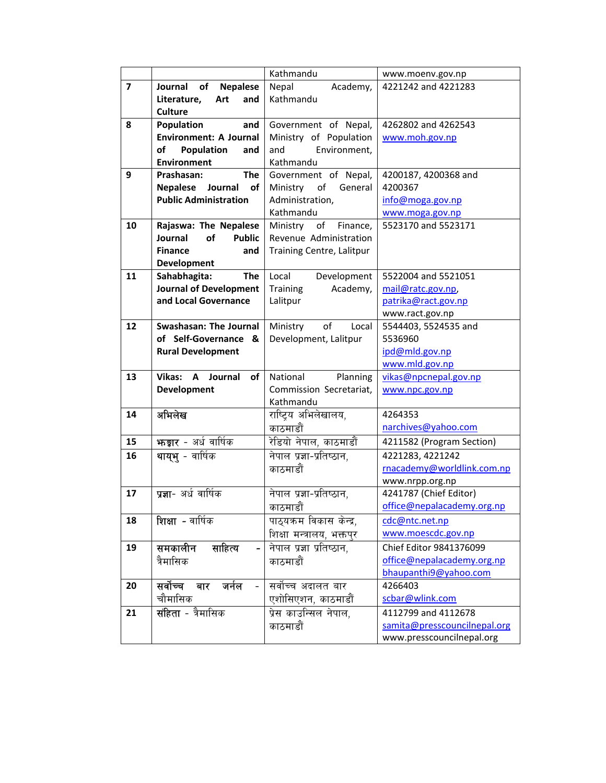|                         |                                  | Kathmandu                   | www.moenv.gov.np             |
|-------------------------|----------------------------------|-----------------------------|------------------------------|
| $\overline{\mathbf{z}}$ | of<br><b>Nepalese</b><br>Journal | Nepal<br>Academy,           | 4221242 and 4221283          |
|                         | Literature,<br>Art<br>and        | Kathmandu                   |                              |
|                         | <b>Culture</b>                   |                             |                              |
| 8                       | Population<br>and                | Government of Nepal,        | 4262802 and 4262543          |
|                         | <b>Environment: A Journal</b>    | Ministry of Population      | www.moh.gov.np               |
|                         | Population<br>of<br>and          | Environment,<br>and         |                              |
|                         | <b>Environment</b>               | Kathmandu                   |                              |
| 9                       | <b>The</b><br>Prashasan:         | Government of Nepal,        | 4200187, 4200368 and         |
|                         | <b>Nepalese</b><br>Journal<br>of | Ministry<br>of<br>General   | 4200367                      |
|                         | <b>Public Administration</b>     | Administration,             | info@moga.gov.np             |
|                         |                                  | Kathmandu                   | www.moga.gov.np              |
| 10                      | Rajaswa: The Nepalese            | Ministry of<br>Finance,     | 5523170 and 5523171          |
|                         | Journal<br>of<br><b>Public</b>   | Revenue Administration      |                              |
|                         | <b>Finance</b><br>and            | Training Centre, Lalitpur   |                              |
|                         | Development                      |                             |                              |
| 11                      | Sahabhagita:<br>The              | Development<br>Local        | 5522004 and 5521051          |
|                         | <b>Journal of Development</b>    | <b>Training</b><br>Academy, | mail@ratc.gov.np             |
|                         | and Local Governance             | Lalitpur                    | patrika@ract.gov.np          |
|                         |                                  |                             | www.ract.gov.np              |
| 12                      | Swashasan: The Journal           | Ministry<br>of<br>Local     | 5544403, 5524535 and         |
|                         | of Self-Governance<br>&          | Development, Lalitpur       | 5536960                      |
|                         | <b>Rural Development</b>         |                             | ipd@mld.gov.np               |
|                         |                                  |                             | www.mld.gov.np               |
| 13                      | Vikas: A<br>Journal<br>of        | National<br>Planning        | vikas@npcnepal.gov.np        |
|                         | <b>Development</b>               | Commission Secretariat,     | www.npc.gov.np               |
|                         |                                  | Kathmandu                   |                              |
| 14                      | अभिलेख                           | राष्ट्रिय अभिलेखालय,        | 4264353                      |
|                         |                                  | काठमाडौं                    | narchives@yahoo.com          |
| 15                      | <b>भाड़ार</b> - अर्ध वार्षिक     | रेडियो नेपाल, काठमाडौं      | 4211582 (Program Section)    |
| 16                      | थायुभ् - वार्षिक                 | नेपाल प्रज्ञा-प्रतिष्ठान,   | 4221283, 4221242             |
|                         |                                  | काठमाडौं                    | rnacademy@worldlink.com.np   |
|                         |                                  |                             | www.nrpp.org.np              |
| 17                      | <b>प्रज्ञा</b> - अर्ध वार्षिक    | नेपाल प्रज्ञा-प्रतिष्ठान,   | 4241787 (Chief Editor)       |
|                         |                                  | काठमाडौं                    | office@nepalacademy.org.np   |
| 18                      | शिक्षा - वार्षिक                 | पाठयक्रम विकास केन्द्र,     | cdc@ntc.net.np               |
|                         |                                  | शिक्षा मन्त्रालय, भक्तपुर   | www.moescdc.gov.np           |
| 19                      | समकालीन<br>साहित्य               | नेपाल प्रज्ञा प्रतिष्ठान,   | Chief Editor 9841376099      |
|                         | त्रैमासिक                        | काठमाडौं                    | office@nepalacademy.org.np   |
|                         |                                  |                             | bhaupanthi9@yahoo.com        |
| 20                      | सर्वोच्च<br>जर्नल<br>बार         | सर्वोच्च अदालत बार          | 4266403                      |
|                         | चौमासिक                          | एशोसिएशन, काठमाडौं          | scbar@wlink.com              |
| 21                      | <b>संहिता</b> - त्रैमासिक        | प्रेस काउन्सिल नेपाल,       | 4112799 and 4112678          |
|                         |                                  | काठमाडौं                    | samita@presscouncilnepal.org |
|                         |                                  |                             | www.presscouncilnepal.org    |
|                         |                                  |                             |                              |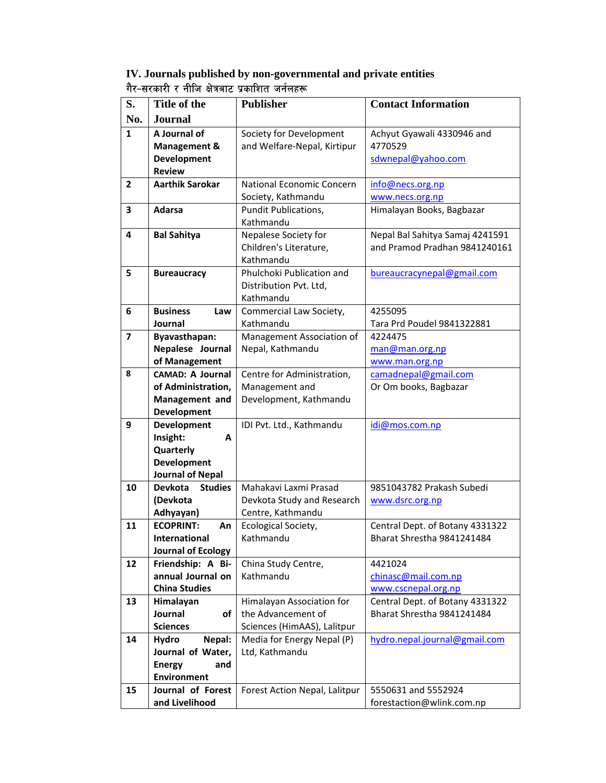| IV. Journals published by non-governmental and private entities |  |
|-----------------------------------------------------------------|--|
| गैर-सरकारी र नीजि क्षेत्रबाट प्रकाशित जर्नलहरू                  |  |

| S.                      | Title of the                     | <b>Publisher</b>                                | <b>Contact Information</b>                                    |
|-------------------------|----------------------------------|-------------------------------------------------|---------------------------------------------------------------|
| No.                     | <b>Journal</b>                   |                                                 |                                                               |
| 1                       | A Journal of                     | Society for Development                         | Achyut Gyawali 4330946 and                                    |
|                         | Management &                     | and Welfare-Nepal, Kirtipur                     | 4770529                                                       |
|                         | Development                      |                                                 | sdwnepal@yahoo.com                                            |
|                         | <b>Review</b>                    |                                                 |                                                               |
| $\mathbf{2}$            | <b>Aarthik Sarokar</b>           | National Economic Concern                       | info@necs.org.np                                              |
|                         |                                  | Society, Kathmandu                              | www.necs.org.np                                               |
| 3                       | <b>Adarsa</b>                    | Pundit Publications,                            | Himalayan Books, Bagbazar                                     |
|                         |                                  | Kathmandu                                       |                                                               |
| 4                       | <b>Bal Sahitya</b>               | Nepalese Society for                            | Nepal Bal Sahitya Samaj 4241591                               |
|                         |                                  | Children's Literature,                          | and Pramod Pradhan 9841240161                                 |
| 5                       | <b>Bureaucracy</b>               | Kathmandu<br>Phulchoki Publication and          | bureaucracynepal@gmail.com                                    |
|                         |                                  | Distribution Pvt. Ltd,                          |                                                               |
|                         |                                  | Kathmandu                                       |                                                               |
| 6                       | <b>Business</b><br>Law           | Commercial Law Society,                         | 4255095                                                       |
|                         | Journal                          | Kathmandu                                       | Tara Prd Poudel 9841322881                                    |
| $\overline{\mathbf{z}}$ | <b>Byavasthapan:</b>             | Management Association of                       | 4224475                                                       |
|                         | Nepalese Journal                 | Nepal, Kathmandu                                | man@man.org.np                                                |
|                         | of Management                    |                                                 | www.man.org.np                                                |
| 8                       | <b>CAMAD: A Journal</b>          | Centre for Administration,                      | camadnepal@gmail.com                                          |
|                         | of Administration,               | Management and                                  | Or Om books, Bagbazar                                         |
|                         | Management and                   | Development, Kathmandu                          |                                                               |
|                         | <b>Development</b>               |                                                 |                                                               |
| 9                       | <b>Development</b>               | IDI Pvt. Ltd., Kathmandu                        | idi@mos.com.np                                                |
|                         | Insight:<br>A<br>Quarterly       |                                                 |                                                               |
|                         | <b>Development</b>               |                                                 |                                                               |
|                         | <b>Journal of Nepal</b>          |                                                 |                                                               |
| 10                      | <b>Studies</b><br><b>Devkota</b> | Mahakavi Laxmi Prasad                           | 9851043782 Prakash Subedi                                     |
|                         | (Devkota                         | Devkota Study and Research                      | www.dsrc.org.np                                               |
|                         | Adhyayan)                        | Centre, Kathmandu                               |                                                               |
| 11                      | <b>ECOPRINT:</b><br>An           | Ecological Society,                             | Central Dept. of Botany 4331322                               |
|                         | International                    | Kathmandu                                       | Bharat Shrestha 9841241484                                    |
|                         | <b>Journal of Ecology</b>        |                                                 |                                                               |
| 12                      | Friendship: A Bi-                | China Study Centre,                             | 4421024                                                       |
|                         | annual Journal on                | Kathmandu                                       | chinasc@mail.com.np                                           |
|                         | <b>China Studies</b>             |                                                 | www.cscnepal.org.np                                           |
| 13                      | Himalayan<br>Journal<br>of       | Himalayan Association for<br>the Advancement of | Central Dept. of Botany 4331322<br>Bharat Shrestha 9841241484 |
|                         | <b>Sciences</b>                  | Sciences (HimAAS), Lalitpur                     |                                                               |
| 14                      | Nepal:<br>Hydro                  | Media for Energy Nepal (P)                      | hydro.nepal.journal@gmail.com                                 |
|                         | Journal of Water,                | Ltd, Kathmandu                                  |                                                               |
|                         | <b>Energy</b><br>and             |                                                 |                                                               |
|                         | <b>Environment</b>               |                                                 |                                                               |
| 15                      | Journal of Forest                | Forest Action Nepal, Lalitpur                   | 5550631 and 5552924                                           |
|                         | and Livelihood                   |                                                 | forestaction@wlink.com.np                                     |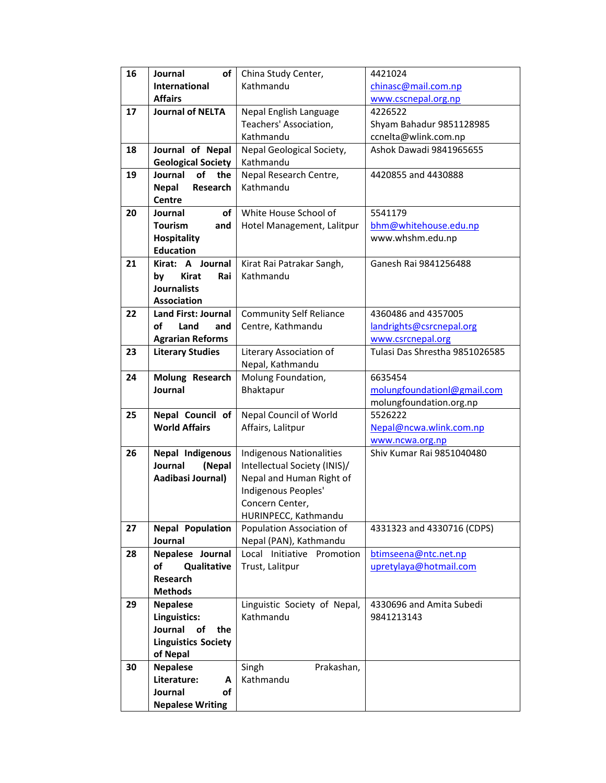| 16 | Journal<br>οf               | China Study Center,            | 4421024                        |
|----|-----------------------------|--------------------------------|--------------------------------|
|    | <b>International</b>        | Kathmandu                      | chinasc@mail.com.np            |
|    | <b>Affairs</b>              |                                | www.cscnepal.org.np            |
| 17 | <b>Journal of NELTA</b>     | Nepal English Language         | 4226522                        |
|    |                             | Teachers' Association,         | Shyam Bahadur 9851128985       |
|    |                             | Kathmandu                      | ccnelta@wlink.com.np           |
| 18 |                             |                                | Ashok Dawadi 9841965655        |
|    | Journal of Nepal            | Nepal Geological Society,      |                                |
|    | <b>Geological Society</b>   | Kathmandu                      |                                |
| 19 | of<br>Journal<br>the        | Nepal Research Centre,         | 4420855 and 4430888            |
|    | <b>Nepal</b><br>Research    | Kathmandu                      |                                |
|    | <b>Centre</b>               |                                |                                |
| 20 | οf<br>Journal               | White House School of          | 5541179                        |
|    | <b>Tourism</b><br>and       | Hotel Management, Lalitpur     | bhm@whitehouse.edu.np          |
|    | <b>Hospitality</b>          |                                | www.whshm.edu.np               |
|    | <b>Education</b>            |                                |                                |
| 21 | Kirat: A Journal            | Kirat Rai Patrakar Sangh,      | Ganesh Rai 9841256488          |
|    | <b>Kirat</b><br>Rai<br>by   | Kathmandu                      |                                |
|    | <b>Journalists</b>          |                                |                                |
|    | <b>Association</b>          |                                |                                |
| 22 | <b>Land First: Journal</b>  | <b>Community Self Reliance</b> | 4360486 and 4357005            |
|    | οf<br>Land<br>and           | Centre, Kathmandu              | landrights@csrcnepal.org       |
|    | <b>Agrarian Reforms</b>     |                                | www.csrcnepal.org              |
| 23 | <b>Literary Studies</b>     | Literary Association of        | Tulasi Das Shrestha 9851026585 |
|    |                             | Nepal, Kathmandu               |                                |
| 24 | Molung Research             | Molung Foundation,             | 6635454                        |
|    | Journal                     | Bhaktapur                      | molungfoundationl@gmail.com    |
|    |                             |                                | molungfoundation.org.np        |
| 25 | Nepal Council of            | Nepal Council of World         | 5526222                        |
|    | <b>World Affairs</b>        | Affairs, Lalitpur              | Nepal@ncwa.wlink.com.np        |
|    |                             |                                | www.ncwa.org.np                |
| 26 | Nepal Indigenous            | Indigenous Nationalities       | Shiv Kumar Rai 9851040480      |
|    | Journal<br>(Nepal           | Intellectual Society (INIS)/   |                                |
|    | Aadibasi Journal)           | Nepal and Human Right of       |                                |
|    |                             | Indigenous Peoples'            |                                |
|    |                             | Concern Center,                |                                |
|    |                             | HURINPECC, Kathmandu           |                                |
| 27 | <b>Nepal Population</b>     | Population Association of      | 4331323 and 4330716 (CDPS)     |
|    | Journal                     | Nepal (PAN), Kathmandu         |                                |
| 28 | Nepalese Journal            | Local Initiative<br>Promotion  | btimseena@ntc.net.np           |
|    | Qualitative<br>of           | Trust, Lalitpur                | upretylaya@hotmail.com         |
|    | Research                    |                                |                                |
|    | <b>Methods</b>              |                                |                                |
| 29 | <b>Nepalese</b>             | Linguistic Society of Nepal,   | 4330696 and Amita Subedi       |
|    | Linguistics:                | Kathmandu                      | 9841213143                     |
|    | Journal<br><b>of</b><br>the |                                |                                |
|    | <b>Linguistics Society</b>  |                                |                                |
|    | of Nepal                    |                                |                                |
| 30 | <b>Nepalese</b>             | Singh<br>Prakashan,            |                                |
|    | Literature:<br>A            | Kathmandu                      |                                |
|    | Journal<br>οf               |                                |                                |
|    | <b>Nepalese Writing</b>     |                                |                                |
|    |                             |                                |                                |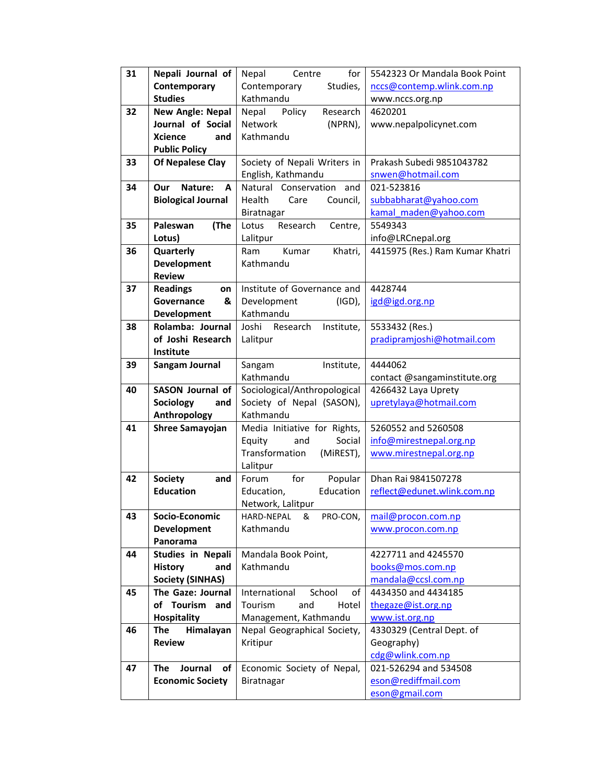| 31 | Nepali Journal of           | for<br>Nepal<br>Centre          | 5542323 Or Mandala Book Point   |
|----|-----------------------------|---------------------------------|---------------------------------|
|    | Contemporary                | Studies,<br>Contemporary        | nccs@contemp.wlink.com.np       |
|    | <b>Studies</b>              | Kathmandu                       | www.nccs.org.np                 |
| 32 | <b>New Angle: Nepal</b>     | Research<br>Policy<br>Nepal     | 4620201                         |
|    | Journal of Social           | Network<br>(NPRN),              | www.nepalpolicynet.com          |
|    | <b>Xcience</b><br>and       | Kathmandu                       |                                 |
|    | <b>Public Policy</b>        |                                 |                                 |
| 33 | Of Nepalese Clay            | Society of Nepali Writers in    | Prakash Subedi 9851043782       |
|    |                             | English, Kathmandu              | snwen@hotmail.com               |
| 34 | Nature:<br>Our<br>A         | Natural Conservation and        | 021-523816                      |
|    | <b>Biological Journal</b>   | Health<br>Care<br>Council,      | subbabharat@yahoo.com           |
|    |                             | Biratnagar                      | kamal maden@yahoo.com           |
| 35 | (The<br>Paleswan            | Research<br>Centre,<br>Lotus    | 5549343                         |
|    | Lotus)                      | Lalitpur                        | info@LRCnepal.org               |
| 36 | Quarterly                   | Ram<br>Kumar<br>Khatri,         | 4415975 (Res.) Ram Kumar Khatri |
|    | <b>Development</b>          | Kathmandu                       |                                 |
|    | <b>Review</b>               |                                 |                                 |
| 37 | <b>Readings</b><br>on       | Institute of Governance and     | 4428744                         |
|    | Governance<br>&             | Development<br>(IGD),           | igd@igd.org.np                  |
|    | Development                 | Kathmandu                       |                                 |
| 38 | Rolamba: Journal            | Joshi<br>Research<br>Institute, | 5533432 (Res.)                  |
|    | of Joshi Research           | Lalitpur                        | pradipramjoshi@hotmail.com      |
|    | Institute                   |                                 |                                 |
| 39 | Sangam Journal              | Institute,<br>Sangam            | 4444062                         |
|    |                             | Kathmandu                       | contact @sangaminstitute.org    |
| 40 | <b>SASON Journal of</b>     | Sociological/Anthropological    | 4266432 Laya Uprety             |
|    | Sociology<br>and            | Society of Nepal (SASON),       | upretylaya@hotmail.com          |
|    | Anthropology                | Kathmandu                       |                                 |
| 41 | <b>Shree Samayojan</b>      | Media Initiative for Rights,    | 5260552 and 5260508             |
|    |                             | Equity<br>Social<br>and         | info@mirestnepal.org.np         |
|    |                             | Transformation<br>(MIREST),     | www.mirestnepal.org.np          |
|    |                             | Lalitpur                        |                                 |
| 42 | <b>Society</b><br>and       | for<br>Forum<br>Popular         | Dhan Rai 9841507278             |
|    | <b>Education</b>            | Education<br>Education,         | reflect@edunet.wlink.com.np     |
|    |                             | Network, Lalitpur               |                                 |
| 43 | Socio-Economic              | HARD-NEPAL<br>PRO-CON,<br>&     | mail@procon.com.np              |
|    | Development                 | Kathmandu                       | www.procon.com.np               |
|    | Panorama                    |                                 |                                 |
| 44 | <b>Studies in Nepali</b>    | Mandala Book Point,             | 4227711 and 4245570             |
|    | <b>History</b><br>and       | Kathmandu                       | books@mos.com.np                |
|    | <b>Society (SINHAS)</b>     |                                 | mandala@ccsl.com.np             |
| 45 | The Gaze: Journal           | International<br>School<br>of   | 4434350 and 4434185             |
|    | of Tourism<br>and           | Tourism<br>and<br>Hotel         | thegaze@ist.org.np              |
|    | <b>Hospitality</b>          | Management, Kathmandu           | www.ist.org.np                  |
| 46 | <b>The</b><br>Himalayan     | Nepal Geographical Society,     | 4330329 (Central Dept. of       |
|    | <b>Review</b>               | Kritipur                        | Geography)                      |
|    |                             |                                 | cdg@wlink.com.np                |
| 47 | Journal<br><b>The</b><br>οf | Economic Society of Nepal,      | 021-526294 and 534508           |
|    | <b>Economic Society</b>     | Biratnagar                      | eson@rediffmail.com             |
|    |                             |                                 | eson@gmail.com                  |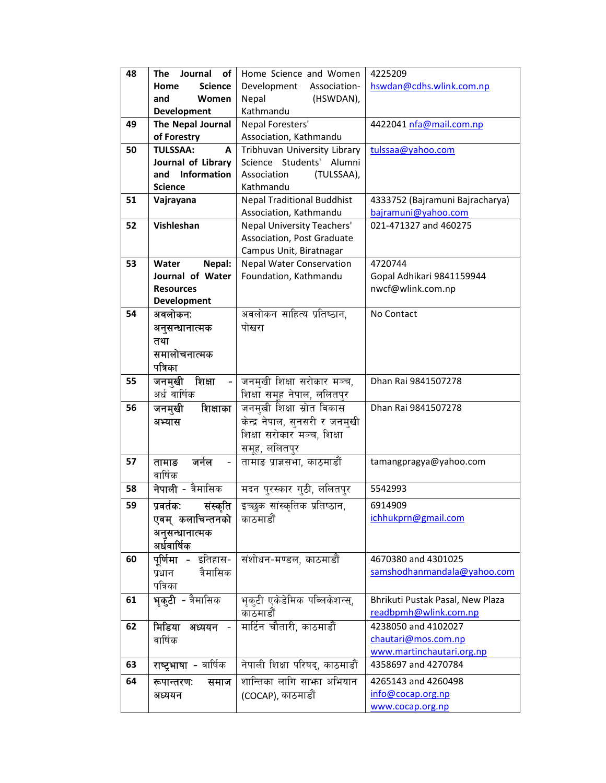| 48 | Journal<br>The<br>οf      | Home Science and Women                                      | 4225209                                                |
|----|---------------------------|-------------------------------------------------------------|--------------------------------------------------------|
|    | <b>Science</b><br>Home    | Development<br>Association-                                 | hswdan@cdhs.wlink.com.np                               |
|    | and<br>Women              | Nepal<br>(HSWDAN),                                          |                                                        |
|    | Development               | Kathmandu                                                   |                                                        |
| 49 | The Nepal Journal         | Nepal Foresters'                                            | 4422041 nfa@mail.com.np                                |
|    | of Forestry               | Association, Kathmandu                                      |                                                        |
| 50 | <b>TULSSAA:</b><br>A      | Tribhuvan University Library                                | tulssaa@yahoo.com                                      |
|    | Journal of Library        | Science Students'<br>Alumni                                 |                                                        |
|    | <b>Information</b><br>and | Association<br>(TULSSAA),                                   |                                                        |
|    | <b>Science</b>            | Kathmandu                                                   |                                                        |
| 51 | Vajrayana                 | <b>Nepal Traditional Buddhist</b><br>Association, Kathmandu | 4333752 (Bajramuni Bajracharya)<br>bajramuni@yahoo.com |
| 52 | Vishleshan                | Nepal University Teachers'                                  | 021-471327 and 460275                                  |
|    |                           | Association, Post Graduate                                  |                                                        |
|    |                           | Campus Unit, Biratnagar                                     |                                                        |
| 53 | Water<br>Nepal:           | <b>Nepal Water Conservation</b>                             | 4720744                                                |
|    | Journal of Water          | Foundation, Kathmandu                                       | Gopal Adhikari 9841159944                              |
|    | <b>Resources</b>          |                                                             | nwcf@wlink.com.np                                      |
|    | <b>Development</b>        |                                                             |                                                        |
| 54 | अवलोकनः                   | अवलोकन साहित्य प्रतिष्ठान,                                  | No Contact                                             |
|    | अनुसन्धानात्मक            | पोखरा                                                       |                                                        |
|    | तथा                       |                                                             |                                                        |
|    | समालोचनात्मक              |                                                             |                                                        |
|    | पत्रिका                   |                                                             |                                                        |
| 55 | शिक्षा<br>जनमुखी          | जनमुखी शिक्षा सरोकार मञ्च,                                  | Dhan Rai 9841507278                                    |
|    | अर्ध वार्षिक              | शिक्षा समूह नेपाल, ललितपुर                                  |                                                        |
| 56 | जनमुखी<br>शिक्षाका        | जनमुखी शिक्षा स्रोत विकास                                   | Dhan Rai 9841507278                                    |
|    | अभ्यास                    | केन्द्र नेपाल, सुनसरी र जनमुखी                              |                                                        |
|    |                           | शिक्षा सरोकार मञ्च, शिक्षा                                  |                                                        |
|    |                           | समूह, ललितप्र                                               |                                                        |
| 57 | जर्नल<br>तामाङ            | तामाङ प्राज्ञसभा, काठमाडौं                                  | tamangpragya@yahoo.com                                 |
|    | वार्षिक                   |                                                             |                                                        |
| 58 | त्रैमासिक<br>नेपाली -     | मदन प्रस्कार गठी, ललितप्र                                   | 5542993                                                |
| 59 | संस्कृति  <br>प्रवर्तकः   | इच्छुक सांस्कृतिक प्रतिष्ठान,                               | 6914909                                                |
|    | एवम् कलाचिन्तनको          | काठमाडौं                                                    | ichhukprn@gmail.com                                    |
|    | अनुसन्धानात्मक            |                                                             |                                                        |
|    | अर्धवार्षिक               |                                                             |                                                        |
| 60 | <b>पूर्णिमा -</b> इतिहास- | संशोधन-मण्डल, काठमाडौं                                      | 4670380 and 4301025                                    |
|    | त्रैमासिक<br>प्रधान       |                                                             | samshodhanmandala@yahoo.com                            |
|    | पत्रिका                   |                                                             |                                                        |
| 61 | <b>भुक्टी -</b> त्रैमासिक | भूकुटी एकेडेमिक पब्लिकेशन्स्,                               | Bhrikuti Pustak Pasal, New Plaza                       |
|    |                           | काठमाडौं                                                    | readbpmh@wlink.com.np                                  |
| 62 | मिडिया अध्ययन -           | मार्टिन चौतारी, काठमाडौं                                    | 4238050 and 4102027                                    |
|    | वार्षिक                   |                                                             | chautari@mos.com.np                                    |
|    |                           |                                                             | www.martinchautari.org.np                              |
| 63 | राष्ट्रभाषा - वार्षिक     | नेपाली शिक्षा परिषद्, काठमाडौं                              | 4358697 and 4270784                                    |
| 64 | रूपान्तरणः<br>समाज        | शान्तिका लागि साभ्रा अभियान                                 | 4265143 and 4260498                                    |
|    | अध्ययन                    | (COCAP), काठमाडौं                                           | info@cocap.org.np                                      |
|    |                           |                                                             | www.cocap.org.np                                       |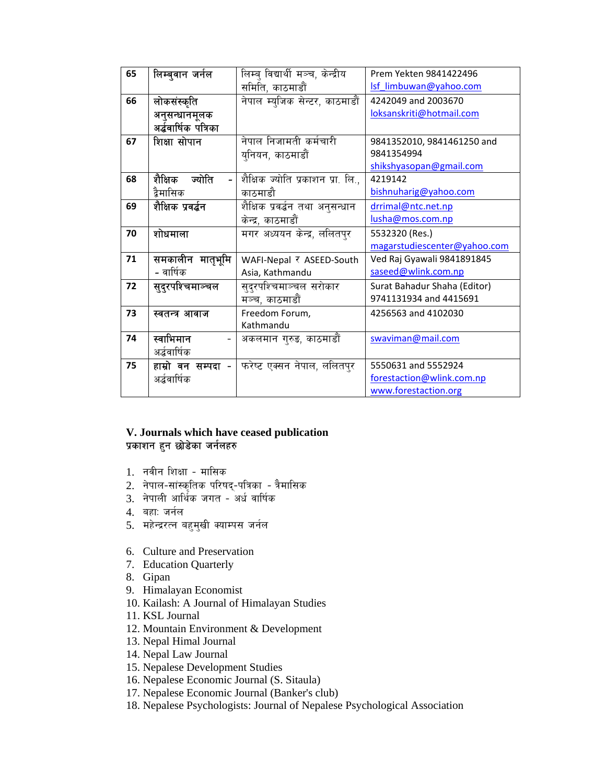| 65 | लिम्बुवान जर्नल       | लिम्ब् विद्यार्थी मञ्च, केन्द्रीय | Prem Yekten 9841422496       |
|----|-----------------------|-----------------------------------|------------------------------|
|    |                       | समिति, काठमाडौं                   | Isf limbuwan@yahoo.com       |
| 66 | लोकसंस्कृति           | नेपाल म्युजिक सेन्टर, काठमाडौं    | 4242049 and 2003670          |
|    | अनुसन्धानमूलक         |                                   | loksanskriti@hotmail.com     |
|    | अर्द्धवार्षिक पत्रिका |                                   |                              |
| 67 | शिक्षा सोपान          | नेपाल निजामती कर्मचारी            | 9841352010, 9841461250 and   |
|    |                       | युनियन, काठमाडौं                  | 9841354994                   |
|    |                       |                                   | shikshyasopan@gmail.com      |
| 68 | शैक्षिक<br>ज्योति     | शैक्षिक ज्योति प्रकाशन प्रा. लि., | 4219142                      |
|    | द्वैमासिक             | काठमाडौ                           | bishnuharig@yahoo.com        |
| 69 | शैक्षिक प्रवर्द्धन    | शैक्षिक प्रवर्द्धन तथा अनुसन्धान  | drrimal@ntc.net.np           |
|    |                       | केन्द्र, काठमाडौं                 | lusha@mos.com.np             |
| 70 | शोधमाला               | मगर अध्ययन केन्द्र, ललितपुर       | 5532320 (Res.)               |
|    |                       |                                   | magarstudiescenter@yahoo.com |
| 71 | समकालीन मातृभूमि      | WAFI-Nepal र ASEED-South          | Ved Raj Gyawali 9841891845   |
|    | - वार्षिक             | Asia, Kathmandu                   | saseed@wlink.com.np          |
| 72 | सुदुरपश्चिमाञ्चल      | सुद्रपश्चिमाञ्चल सरोकार           | Surat Bahadur Shaha (Editor) |
|    |                       | मञ्च, काठमाडौं                    | 9741131934 and 4415691       |
| 73 | स्वतन्त्र आवाज        | Freedom Forum,                    | 4256563 and 4102030          |
|    |                       | Kathmandu                         |                              |
| 74 | स्वाभिमान             | अकलमान गुरुङ, काठमाडौं            | swaviman@mail.com            |
|    | अर्द्धवार्षिक         |                                   |                              |
| 75 | हाम्रो वन सम्पदा -    | फरेष्ट एक्सन नेपाल, ललितपुर       | 5550631 and 5552924          |
|    | अर्द्धवार्षिक         |                                   | forestaction@wlink.com.np    |
|    |                       |                                   | www.forestaction.org         |

### **V. Journals which have ceased publication**  प्रकाशन हुन छोडेका जर्नलहरु

- 1. नवीन शिक्षा मासिक
- 2. नेपाल-सांस्कृतिक परिषद्-पत्रिका त्रैमासिक
- $3.$  नेपाली आर्थिक जगत अर्ध वार्षिक
- 4. बहा: जर्नल
- 5. महेन्द्ररत्न बहुमुखी क्याम्पस जर्नल
- 6. Culture and Preservation
- 7. Education Quarterly
- 8. Gipan
- 9. Himalayan Economist
- 10. Kailash: A Journal of Himalayan Studies
- 11. KSL Journal
- 12. Mountain Environment & Development
- 13. Nepal Himal Journal
- 14. Nepal Law Journal
- 15. Nepalese Development Studies
- 16. Nepalese Economic Journal (S. Sitaula)
- 17. Nepalese Economic Journal (Banker's club)
- 18. Nepalese Psychologists: Journal of Nepalese Psychological Association